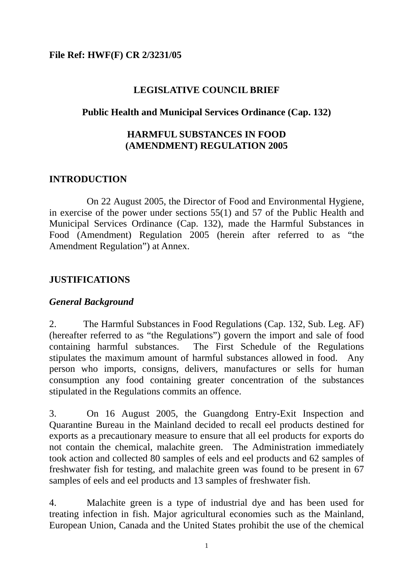### **File Ref: HWF(F) CR 2/3231/05**

#### **LEGISLATIVE COUNCIL BRIEF**

#### **Public Health and Municipal Services Ordinance (Cap. 132)**

# **HARMFUL SUBSTANCES IN FOOD (AMENDMENT) REGULATION 2005**

### **INTRODUCTION**

 On 22 August 2005, the Director of Food and Environmental Hygiene, in exercise of the power under sections 55(1) and 57 of the Public Health and Municipal Services Ordinance (Cap. 132), made the Harmful Substances in Food (Amendment) Regulation 2005 (herein after referred to as "the Amendment Regulation") at Annex.

### **JUSTIFICATIONS**

# *General Background*

2. The Harmful Substances in Food Regulations (Cap. 132, Sub. Leg. AF) (hereafter referred to as "the Regulations") govern the import and sale of food containing harmful substances. The First Schedule of the Regulations stipulates the maximum amount of harmful substances allowed in food. Any person who imports, consigns, delivers, manufactures or sells for human consumption any food containing greater concentration of the substances stipulated in the Regulations commits an offence.

3. On 16 August 2005, the Guangdong Entry-Exit Inspection and Quarantine Bureau in the Mainland decided to recall eel products destined for exports as a precautionary measure to ensure that all eel products for exports do not contain the chemical, malachite green. The Administration immediately took action and collected 80 samples of eels and eel products and 62 samples of freshwater fish for testing, and malachite green was found to be present in 67 samples of eels and eel products and 13 samples of freshwater fish.

4. Malachite green is a type of industrial dye and has been used for treating infection in fish. Major agricultural economies such as the Mainland, European Union, Canada and the United States prohibit the use of the chemical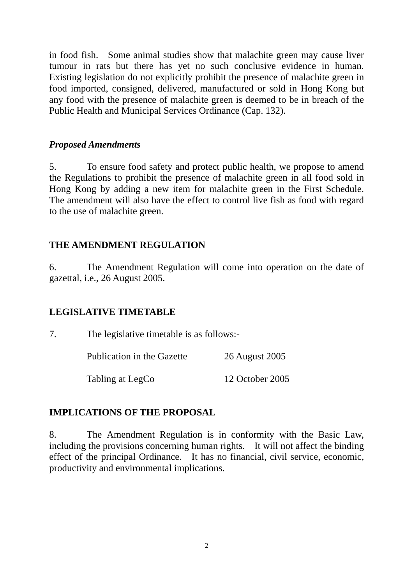in food fish. Some animal studies show that malachite green may cause liver tumour in rats but there has yet no such conclusive evidence in human. Existing legislation do not explicitly prohibit the presence of malachite green in food imported, consigned, delivered, manufactured or sold in Hong Kong but any food with the presence of malachite green is deemed to be in breach of the Public Health and Municipal Services Ordinance (Cap. 132).

## *Proposed Amendments*

5. To ensure food safety and protect public health, we propose to amend the Regulations to prohibit the presence of malachite green in all food sold in Hong Kong by adding a new item for malachite green in the First Schedule. The amendment will also have the effect to control live fish as food with regard to the use of malachite green.

# **THE AMENDMENT REGULATION**

6. The Amendment Regulation will come into operation on the date of gazettal, i.e., 26 August 2005.

# **LEGISLATIVE TIMETABLE**

7. The legislative timetable is as follows:-

Publication in the Gazette 26 August 2005

Tabling at LegCo 12 October 2005

# **IMPLICATIONS OF THE PROPOSAL**

8. The Amendment Regulation is in conformity with the Basic Law, including the provisions concerning human rights. It will not affect the binding effect of the principal Ordinance. It has no financial, civil service, economic, productivity and environmental implications.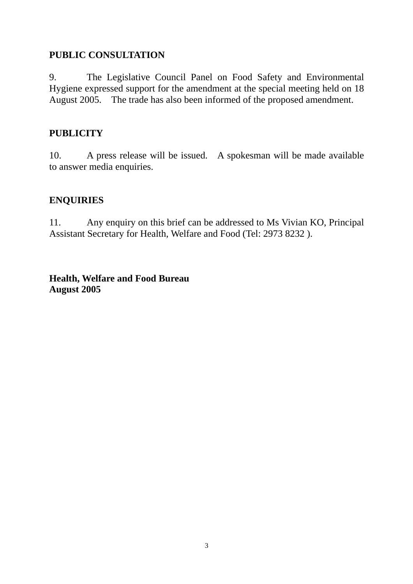# **PUBLIC CONSULTATION**

9. The Legislative Council Panel on Food Safety and Environmental Hygiene expressed support for the amendment at the special meeting held on 18 August 2005. The trade has also been informed of the proposed amendment.

# **PUBLICITY**

10. A press release will be issued. A spokesman will be made available to answer media enquiries.

# **ENQUIRIES**

11. Any enquiry on this brief can be addressed to Ms Vivian KO, Principal Assistant Secretary for Health, Welfare and Food (Tel: 2973 8232 ).

**Health, Welfare and Food Bureau August 2005**